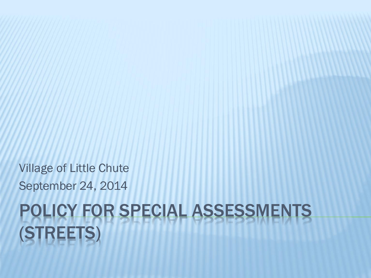# POLICY FOR SPECIAL ASSESSMENTS (STREETS)

Village of Little Chute September 24, 2014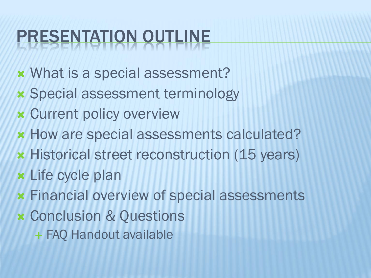## PRESENTATION OUTLINE

- What is a special assessment?
- Special assessment terminology
- Current policy overview
- **\* How are special assessments calculated?**
- **\* Historical street reconstruction (15 years)**
- Life cycle plan
- Financial overview of special assessments
- Conclusion & Questions
	- + FAQ Handout available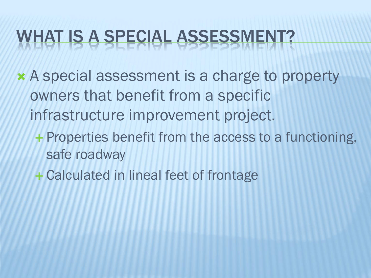#### WHAT IS A SPECIAL ASSESSMENT?

- A special assessment is a charge to property owners that benefit from a specific infrastructure improvement project.
	- + Properties benefit from the access to a functioning, safe roadway
	- Calculated in lineal feet of frontage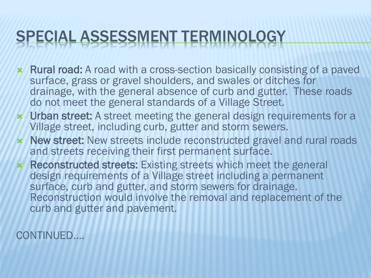#### SPECIAL ASSESSMENT TERMINOLOGY

- **\*** Rural road: A road with a cross-section basically consisting of a paved surface, grass or gravel shoulders, and swales or ditches for drainage, with the general absence of curb and gutter. These roads do not meet the general standards of a Village Street.
- **\*** Urban street: A street meeting the general design requirements for a Village street, including curb, gutter and storm sewers.
- **\* New street:** New streets include reconstructed gravel and rural roads and streets receiving their first permanent surface.
- **\*** Reconstructed streets: Existing streets which meet the general design requirements of a Village street including a permanent surface, curb and gutter, and storm sewers for drainage. Reconstruction would involve the removal and replacement of the curb and gutter and pavement.

CONTINUED….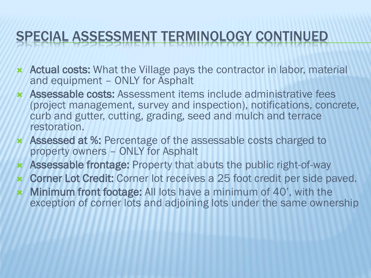#### SPECIAL ASSESSMENT TERMINOLOGY CONTINUED

- Actual costs: What the Village pays the contractor in labor, material and equipment – ONLY for Asphalt
- Assessable costs: Assessment items include administrative fees (project management, survey and inspection), notifications, concrete, curb and gutter, cutting, grading, seed and mulch and terrace restoration.
- Assessed at %: Percentage of the assessable costs charged to property owners – ONLY for Asphalt
- Assessable frontage: Property that abuts the public right-of-way
- Corner Lot Credit: Corner lot receives a 25 foot credit per side paved.
- Minimum front footage: All lots have a minimum of 40', with the exception of corner lots and adjoining lots under the same ownership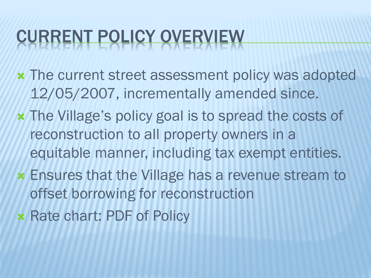## CURRENT POLICY OVERVIEW

- The current street assessment policy was adopted 12/05/2007, incrementally amended since.
- The Village's policy goal is to spread the costs of reconstruction to all property owners in a equitable manner, including tax exempt entities.
- Ensures that the Village has a revenue stream to offset borrowing for reconstruction
- **x Rate chart: PDF of Policy**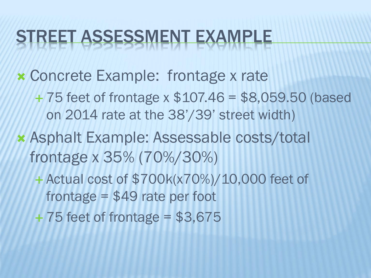#### STREET ASSESSMENT EXAMPLE

Concrete Example: frontage x rate

 75 feet of frontage x \$107.46 = \$8,059.50 (based on 2014 rate at the 38'/39' street width)

- Asphalt Example: Assessable costs/total frontage x 35% (70%/30%)
	- Actual cost of \$700k(x70%)/10,000 feet of frontage = \$49 rate per foot
	- $+75$  feet of frontage = \$3,675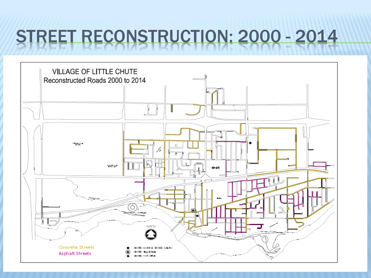#### STREET RECONSTRUCTION: 2000 - 2014

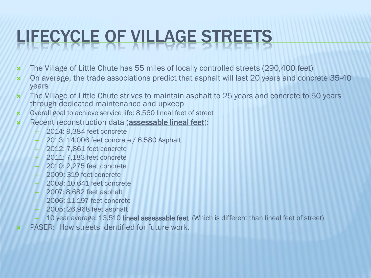## LIFECYCLE OF VILLAGE STREETS

- The Village of Little Chute has 55 miles of locally controlled streets (290,400 feet)
- \* On average, the trade associations predict that asphalt will last 20 years and concrete 35-40 years
- \* The Village of Little Chute strives to maintain asphalt to 25 years and concrete to 50 years through dedicated maintenance and upkeep
- Overall goal to achieve service life: 8,560 lineal feet of street
- Recent reconstruction data (assessable lineal feet):
	- 2014: 9,384 feet concrete
	- 2013: 14,006 feet concrete / 6,580 Asphalt
	- 2012: 7,861 feet concrete
	- 2011: 7,183 feet concrete
	- 2010: 2,275 feet concrete
	- 2009: 319 feet concrete
	- 2008: 10,641 feet concrete
	- 2007: 8,682 feet asphalt
	- 2006: 11,197 feet concrete
	- 2005: 26,968 feet asphalt
	- 10 year average: 13,510 lineal assessable feet (Which is different than lineal feet of street)
- PASER: How streets identified for future work.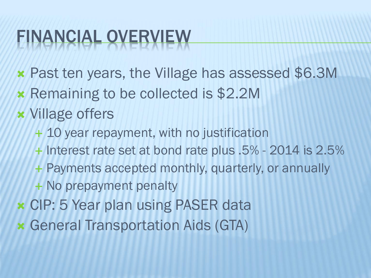## FINANCIAL OVERVIEW

- Past ten years, the Village has assessed \$6.3M
- **\* Remaining to be collected is \$2.2M**
- Village offers
	- + 10 year repayment, with no justification
	- + Interest rate set at bond rate plus .5% 2014 is 2.5%
	- + Payments accepted monthly, quarterly, or annually
	- + No prepayment penalty
- CIP: 5 Year plan using PASER data
- General Transportation Aids (GTA)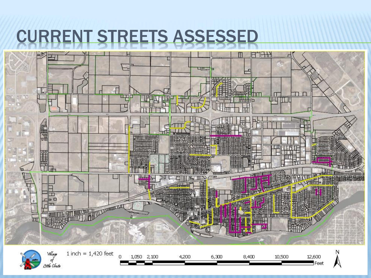#### CURRENT STREETS ASSESSED

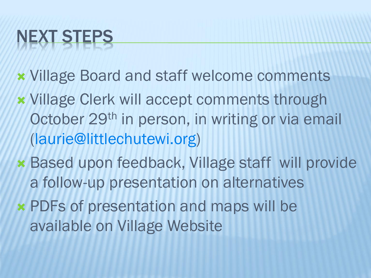# NEXT STEPS

- Village Board and staff welcome comments
- Village Clerk will accept comments through October 29<sup>th</sup> in person, in writing or via email (laurie@littlechutewi.org)
- Based upon feedback, Village staff will provide a follow-up presentation on alternatives
- PDFs of presentation and maps will be available on Village Website